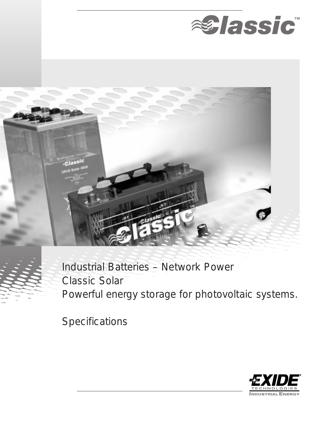



Industrial Batteries – Network Power Classic Solar Powerful energy storage for photovoltaic systems.

**Specifications** 

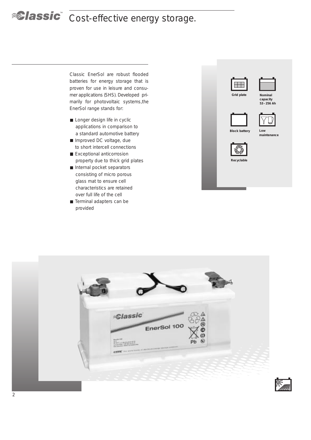# **Cost-effective energy storage.**

Classic EnerSol are robust flooded batteries for energy storage that is proven for use in leisure and consumer applications (SHS). Developed primarily for photovoltaic systems,the EnerSol range stands for:

- Longer design life in cyclic applications in comparison to a standard automotive battery
- Improved DC voltage, due to short intercell connections
- Exceptional anticorrosion property due to thick grid plates
- Internal pocket separators consisting of micro porous glass mat to ensure cell characteristics are retained over full life of the cell
- Terminal adapters can be provided





**capacity 53 – 256 Ah**





**maintenance**



**Recyclable**



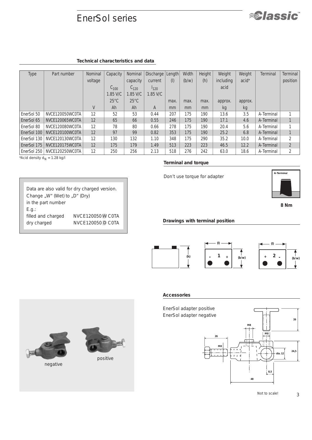## EnerSol series



| Type        | Part number     | Nominal | Capacity       | Nominal        | Discharge | Length | Width | Height | Weight           | Weight            | <b>Terminal</b> | <b>Terminal</b> |
|-------------|-----------------|---------|----------------|----------------|-----------|--------|-------|--------|------------------|-------------------|-----------------|-----------------|
|             |                 | voltage |                | capacity       | current   | (1)    | (b/w) | (h)    | <i>including</i> | acid <sup>*</sup> |                 | position        |
|             |                 |         | $60^{10}$      | 6120           | 1120      |        |       |        | acid             |                   |                 |                 |
|             |                 |         | 1.85 V/C       | $1.85$ V/C     | 1.85 V/C  |        |       |        |                  |                   |                 |                 |
|             |                 |         | $25^{\circ}$ C | $25^{\circ}$ C |           | max.   | max.  | max.   | approx.          | approx.           |                 |                 |
|             |                 | V       | Ah             | Ah             | A         | mm     | mm    | mm     | kg               | kg                |                 |                 |
| EnerSol 50  | NVCE120050WC0TA | 12      | 52             | 53             | 0.44      | 207    | 175   | 190    | 13.6             | 3.5               | A-Terminal      |                 |
| EnerSol 65  | NVCE120065WC0TA | 12      | 65             | 66             | 0.55      | 246    | 175   | 190    | 17.1             | 4.6               | A-Terminal      |                 |
| EnerSol 80  | NVCE120080WC0TA | 12      | 78             | 80             | 0.66      | 278    | 175   | 190    | 20.4             | 5.6               | A-Terminal      |                 |
| EnerSol 100 | NVCE120100WC0TA | 12      | 97             | 99             | 0.82      | 353    | 175   | 190    | 25.2             | 6.8               | A-Terminal      |                 |
| EnerSol 130 | NVCE120130WC0TA | 12      | 130            | 132            | 1.10      | 348    | 175   | 290    | 35.2             | 10.0              | A-Terminal      | $\overline{2}$  |
| EnerSol 175 | NVCE120175WC0TA | 12      | 175            | 179            | 1.49      | 513    | 223   | 223    | 46.5             | 12.2              | A-Terminal      | 2               |
| EnerSol 250 | NVCE120250WC0TA | 12      | 250            | 256            | 2.13      | 518    | 276   | 242    | 63.0             | 18.6              | A-Terminal      |                 |

 $*$ Acid density  $d_N$  = 1.28 kg/l

*in the part number* 

*E.g.:*

*Data are also valid for dry charged version.* 

*filled and charged NVCE120050 W C0TA dry charged NVCE120050 D C0TA*

*Change* "W" (Wet) to "D" (Dry)

**Terminal and torque**

Don't use torque for adapter



*<u>alassic</u>* 

**8 Nm**

**Drawings with terminal position**







#### **Accessories**





negative



positive

3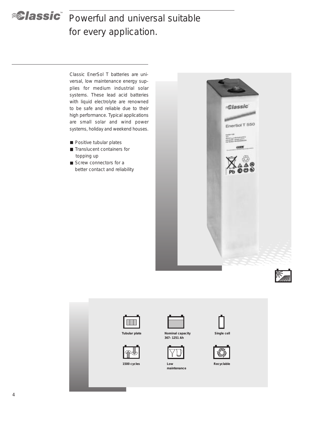

# *<u>Alassic*</u> Powerful and universal suitable for every application.

Classic EnerSol T batteries are universal, low maintenance energy supplies for medium industrial solar systems. These lead acid batteries with liquid electrolyte are renowned to be safe and reliable due to their high performance. Typical applications are small solar and wind power systems, holiday and weekend houses.

- **Positive tubular plates**
- **Translucent containers for** topping up
- Screw connectors for a better contact and reliability







**Tubular plate Nominal capacity** 



**1500 cycles**

**367– 1251 Ah**



**Low maintenance**



**Single cell**



**Recyclable**

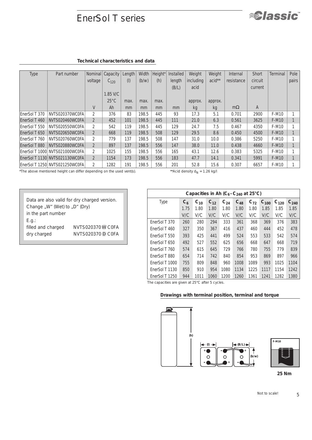## EnerSol T series



### **Technical characteristics and data**

| <b>Type</b>   | Part number                    | Nominal        | Capacity       | Length        | Width | Height* | <b>Installed</b> | Weight    | Weight  | Internal   | <b>Short</b> | <b>Terminal</b> | Pole  |
|---------------|--------------------------------|----------------|----------------|---------------|-------|---------|------------------|-----------|---------|------------|--------------|-----------------|-------|
|               |                                | voltage        | $C_{120}$      | $($ l $)$     | (b/w) | (h)     | length           | including | acid**  | resistance | circuit      |                 | pairs |
|               |                                |                |                |               |       |         | (B/L)            | acid      |         |            | current      |                 |       |
|               |                                |                | 1.85 V/C       |               |       |         |                  |           |         |            |              |                 |       |
|               |                                |                | $25^{\circ}$ C | max.          | max.  | max.    |                  | approx.   | approx. |            |              |                 |       |
|               |                                | V              | Ah             | <sub>mm</sub> | mm    | mm      | mm               | kg        | kg      | $m\Omega$  | A            |                 |       |
| EnerSol T 370 | NVTS020370WC0FA                | 2              | 376            | 83            | 198.5 | 445     | 93               | 17.3      | 5.1     | 0.701      | 2900         | F-M10           |       |
| EnerSol T 460 | NVTS020460WC0FA                | $\overline{2}$ | 452            | 101           | 198.5 | 445     | 111              | 21.0      | 6.3     | 0.561      | 3625         | F-M10           |       |
| EnerSol T 550 | NVTS020550WC0FA                | 2              | 542            | 119           | 198.5 | 445     | 129              | 24.7      | 7.5     | 0.467      | 4350         | F-M10           |       |
| EnerSol T 650 | NVTS020650WC0FA                | $\overline{2}$ | 668            | 119           | 198.5 | 508     | 129              | 29.5      | 8.6     | 0.450      | 4500         | F-M10           |       |
| EnerSol T 760 | NVTS020760WC0FA                | 2              | 779            | 137           | 198.5 | 508     | 147              | 31.0      | 10.0    | 0.386      | 5250         | F-M10           |       |
| EnerSol T 880 | NVTS020880WC0FA                | $\overline{2}$ | 897            | 137           | 198.5 | 556     | 147              | 38.0      | 11.0    | 0.438      | 4660         | F-M10           |       |
|               | EnerSol T 1000 NVTS021000WC0FA | $\overline{2}$ | 1025           | 155           | 198.5 | 556     | 165              | 43.1      | 12.6    | 0.383      | 5325         | F-M10           |       |
|               | EnerSol T 1130 NVTS021130WC0FA | $\overline{2}$ | 1154           | 173           | 198.5 | 556     | 183              | 47.7      | 14.1    | 0.341      | 5991         | F-M10           |       |
|               | EnerSol T 1250 NVTS021250WC0FA | $\overline{2}$ | 1282           | 191           | 198.5 | 556     | 201              | 52.8      | 15.6    | 0.307      | 6657         | F-M10           |       |

*\*The above mentioned height can differ depending on the used vent(s). \*\*Acid density dN = 1.26 kg/l*

| Data are also valid for dry charged version.<br>Change "W" (Wet) to "D" (Dry) |  |  |  |  |  |  |  |  |
|-------------------------------------------------------------------------------|--|--|--|--|--|--|--|--|
| in the part number                                                            |  |  |  |  |  |  |  |  |
|                                                                               |  |  |  |  |  |  |  |  |
| NVTS020370W COFA                                                              |  |  |  |  |  |  |  |  |
| <b>NVTS020370 D COFA</b>                                                      |  |  |  |  |  |  |  |  |
|                                                                               |  |  |  |  |  |  |  |  |

|                | Capacities in Ah $(C_6 - C_{240}$ at 25°C) |          |          |          |          |          |           |           |           |  |  |  |  |  |  |
|----------------|--------------------------------------------|----------|----------|----------|----------|----------|-----------|-----------|-----------|--|--|--|--|--|--|
| <b>Type</b>    | $C_6$                                      | $C_{10}$ | $C_{12}$ | $C_{24}$ | $C_{48}$ | $C_{72}$ | $C_{100}$ | $C_{120}$ | $C_{240}$ |  |  |  |  |  |  |
|                | 1.75                                       | 1.80     | 1.80     | 1.80     | 1.80     | 1.80     | 1.85      | 1.85      | 1.85      |  |  |  |  |  |  |
|                | V/C                                        | V/C      | V/C      | V/C      | V/C      | V/C      | V/C       | V/C       | V/C       |  |  |  |  |  |  |
| EnerSol T 370  | 260                                        | 280      | 294      | 333      | 361      | 368      | 369       | 376       | 383       |  |  |  |  |  |  |
| EnerSol T 460  | 327                                        | 350      | 367      | 416      | 437      | 460      | 444       | 452       | 478       |  |  |  |  |  |  |
| EnerSol T 550  | 393                                        | 425      | 441      | 499      | 524      | 553      | 533       | 542       | 574       |  |  |  |  |  |  |
| EnerSol T 650  | 492                                        | 527      | 552      | 625      | 656      | 668      | 647       | 668       | 719       |  |  |  |  |  |  |
| EnerSol T 760  | 574                                        | 615      | 645      | 729      | 766      | 780      | 755       | 779       | 839       |  |  |  |  |  |  |
| EnerSol T 880  | 654                                        | 714      | 742      | 840      | 854      | 953      | 869       | 897       | 966       |  |  |  |  |  |  |
| EnerSol T 1000 | 755                                        | 809      | 848      | 960      | 1008     | 1089     | 993       | 1025      | 1104      |  |  |  |  |  |  |
| EnerSol T 1130 | 850                                        | 910      | 954      | 1080     | 1134     | 1225     | 1117      | 1154      | 1242      |  |  |  |  |  |  |
| EnerSol T 1250 | 944                                        | 1011     | 1060     | 1200     | 1260     | 1361     | 1241      | 1282      | 1380      |  |  |  |  |  |  |

*The capacities are given at 25°C after 5 cycles.*

### **Drawings with terminal position, terminal and torque**



**25 Nm**

*Not to scale!*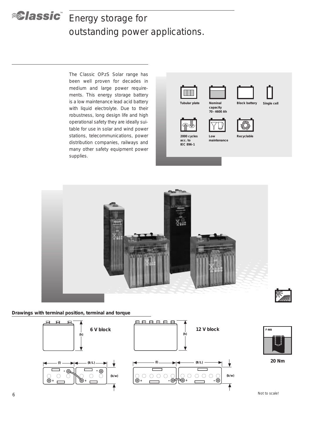# **Energy storage for** outstanding power applications.

The Classic OPzS Solar range has been well proven for decades in medium and large power requirements. This energy storage battery is a low maintenance lead acid battery with liquid electrolyte. Due to their robustness, long design life and high operational safety they are ideally suitable for use in solar and wind power stations, telecommunications, power distribution companies, railways and many other safety equipment power supplies.



**2000 cycles acc. to IEC 896-1**



**70 – 4600 Ah**

**Low maintenance**









**Recyclable**



**Drawings with terminal position, terminal and torque**





**20 Nm**

*Not to scale!*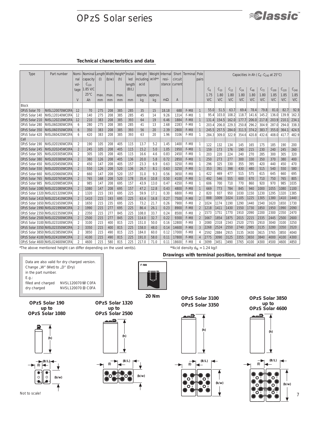## OPzS Solar series



### **Technical characteristics and data**

| <b>Type</b>    | Part number                     | nal<br>vol-              | Nomi- Nominal Length Width Height'<br>capacity<br>$C_{120}$ | (1)                 | (b/w)                  | (h)  | Instal-<br>led<br>length           | Weight<br>including acid**<br>acid |      | Weight Internal<br>resi-<br>stance current | circuit            | Short Terminal   | Pole<br>pairs  | Capacities in Ah ( $C_6$ - $C_{240}$ at 25°C) |          |          |          |          |          |           |           |           |
|----------------|---------------------------------|--------------------------|-------------------------------------------------------------|---------------------|------------------------|------|------------------------------------|------------------------------------|------|--------------------------------------------|--------------------|------------------|----------------|-----------------------------------------------|----------|----------|----------|----------|----------|-----------|-----------|-----------|
|                |                                 | tage                     | 1.85 V/C                                                    |                     |                        |      | (B/L)                              |                                    |      |                                            |                    |                  |                | $C_{6}$                                       | $C_{10}$ | $C_{12}$ | $C_{24}$ | $C_{48}$ | $C_{72}$ | $C_{100}$ | $C_{120}$ | $C_{240}$ |
|                |                                 |                          | $25^{\circ}$ C                                              | max.                | max.                   | max. |                                    | approx. approx.                    |      |                                            |                    |                  |                | 1.75                                          | 1.80     | 1.80     | 1.80     | 1.80     | 1.80     | 1.85      | 1.85      | 1.85      |
|                |                                 | V                        | Ah                                                          | mm                  | mm                     | mm   | mm                                 | kg                                 | kg   | $m\Omega$                                  | A                  |                  |                | V/C                                           | V/C      | V/C      | V/C      | V/C      | V/C      | V/C       | V/C       | V/C       |
| <b>Block</b>   |                                 |                          |                                                             |                     |                        |      |                                    |                                    |      |                                            |                    |                  |                |                                               |          |          |          |          |          |           |           |           |
| OPzS Solar 70  | NVSL120070WC0FA                 | 12                       | 70                                                          | 275                 | 208                    | 385  | 285                                | 35                                 | 15   | 18.18                                      | 688                | F-M8             | $\mathbf{1}$   | 55.0                                          | 51.5     | 63.7     | 69.4     | 78.4     | 79.8     | 81.0      | 82.7      | 92.9      |
| OPzS Solar 140 | NVSL120140WC0FA                 | 12                       | 140                                                         | 275                 | 208                    | 385  | 285                                | 45                                 | 14   | 9.26                                       | 1314               | F-M8             | 1              | 95.4                                          | 103.0    | 108.2    | 118.7    | 141.6    | 145.2    | 136.0     | 139.9     | 162.3     |
| OPzS Solar 210 | NVSL120210WC0FA                 | 12                       | 210                                                         | 383                 | 208                    | 385  | 393                                | 64                                 | 19   | 6.46                                       | 1884               | F-M8             |                | 131.4                                         | 154.5    | 162.0    | 177.7    | 206.0    | 217.8    | 203.9     | 210.1     | 234.1     |
| OPzS Solar 280 | NVSL060280WC0FA                 | 6                        | 280                                                         | 275                 | 208                    | 385  | 285                                | 41                                 | 13   | 2.68                                       | 2283               | F-M8             |                | 203.4                                         | 206.0    | 229.3    | 250.8    | 296.2    | 304.9    | 287.0     | 294.0     | 338.3     |
| OPzS Solar 350 | NVSL060350WC0FA                 | $\overline{b}$           | 350                                                         | 383                 | 208                    | 385  | 393                                | 56                                 | 20   | 2.39                                       | 2800               | F-M8             |                | 245.5                                         | 257.5    | 284.0    | 311.5    | 374.2    | 383.7    | 355.0     | 364.1     | 424.5     |
| OPzS Solar 420 | NVSL060420WC0FA                 | 6                        | 420                                                         | 383                 | 208                    | 385  | 393                                | 63                                 | 20   | 1.96                                       | 3106               | F-M8             |                | 284.3                                         | 309.0    | 322.9    | 354.6    | 420.8    | 432.6    | 408.0     | 417.7     | 482.9     |
| <b>Cell</b>    |                                 |                          |                                                             |                     |                        |      |                                    |                                    |      |                                            |                    |                  |                |                                               |          |          |          |          |          |           |           |           |
| OPzS Solar 190 | NVSL020190WC0FA                 | 2                        | 190                                                         | 105                 | 208                    | 405  | 115                                | 13.7                               | 5.2  | 1.45                                       | 1400               | F-M8             |                | 122                                           | 132      | 134      | 145      | 165      | 175      | 185       | 190       | 200       |
| OPzS Solar 245 | NVSL020245WC0FA                 | $\overline{2}$           | 245                                                         | 105                 | 208                    | 405  | 115                                | 15.2                               | 5.0  | 1.05                                       | 1950               | F-M8             |                | 159                                           | 173      | 176      | 190      | 215      | 230      | 240       | 245       | 260       |
| OPzS Solar 305 | NVSL020305WC0FA                 | 2                        | 305                                                         | 105                 | 208                    | 405  | 115                                | 16.6                               | 4.6  | 0.83                                       | 2450               | F-M8             | -1             | 203                                           | 220      | 224      | 240      | 270      | 285      | 300       | 305       | 320       |
| OPzS Solar 380 | NVSL020380WC0FA                 | $\overline{2}$           | 380                                                         | 126                 | 208                    | 405  | 136                                | 20.0                               | 5.8  | 0.72                                       | 2850               | F-M8             |                | 250                                           | 273      | 277      | 300      | 330      | 350      | 370       | 380       | 400       |
| OPzS Solar 450 | NVSL020450WC0FA                 | 2                        | 450                                                         | 147                 | 208                    | 405  | 157                                | 23.3                               | 6.9  | 0.63                                       | 3250               | F-M8             |                | 296                                           | 325      | 330      | 355      | 395      | 420      | 440       | 450       | 470       |
| OPzS Solar 550 | NVSL020550WC0FA                 | $\overline{2}$           | 550                                                         | 126                 | 208                    | 520  | 136                                | 26.7                               | 8.1  | 0.63                                       | 3250               | F-M8             |                | 353                                           | 391      | 398      | 430      | 480      | 515      | 540       | 550       | 580       |
| OPzS Solar 660 | NVSL020660WC0FA                 | $\overline{2}$           | 660                                                         | 147                 | 208                    | 520  | 157                                | 31.0                               | 9.3  | 0.56                                       | 3650               | F-M8             |                | 422                                           | 469      | 477      | 515      | 575      | 615      | 645       | 660       | 695       |
| OPzS Solar 765 | NVSL020765WC0FA                 | $\overline{2}$           | 765                                                         | 168                 | 208                    | 520  | 178                                | 35.4                               | 10.8 | 0.50                                       | 4100               | F-M8             |                | 492                                           | 546      | 555      | 600      | 670      | 710      | 750       | 765       | 805       |
| OPzS Solar 985 | NVSL020985WC0FA                 | 2                        | 985                                                         | 147                 | 208                    | 695  | 157                                | 43.9                               | 13.0 | 0.47                                       | 4350               | F-M8             | $\mathbf{1}$   | 606                                           | 700      | 710      | 770      | 860      | 920      | 970       | 985       | 1035      |
|                | OPzS Solar 1080 NVSL021080WC0FA | $\overline{2}$           | 1080                                                        | 147                 | 208                    | 695  | 157                                | 47.2                               | 12.8 | 0.43                                       | 4800               | F-M8             |                | 669                                           | 773      | 784      | 845      | 940      | 1000     | 1055      | 1080      | 1100      |
|                | OPzS Solar 1320 NVSL021320WC0FA | 2                        | 1320                                                        | 215                 | 193                    | 695  | 225                                | 59.9                               | 17.1 | 0.30                                       | 6800               | F-M8             | $\overline{2}$ | 820                                           | 937      | 950      | 1030     | 1150     | 1230     | 1295      | 1320      | 1385      |
|                | OPzS Solar 1410 NVSL021410WC0FA | $\overline{2}$           | 1410                                                        | 215                 | 193                    | 695  | 225                                | 63.4                               | 16.8 | 0.27                                       | 7500               | F-M8             | $\overline{2}$ | 888                                           | 1009     | 1024     | 1105     | 1225     | 1305     | 1380      | 1410      | 1440      |
|                | OPzS Solar 1650 NVSL021650WC0FA | $\overline{2}$           | 1650                                                        | 215                 | 235                    | 695  | 225                                | 73.2                               | 21.7 | 0.26                                       | 7900               | F-M8             | $\overline{2}$ | 1024                                          | 1174     | 1190     | 1290     | 1440     | 1540     | 1620      | 1650      | 1730      |
|                | OPzS Solar 1990 NVSL021990WC0FA | $\overline{2}$           | 1990                                                        | 215                 | 277                    | 695  | 225                                | 86.4                               | 26.1 | 0.23                                       | 8900               | F-M8             | $\overline{2}$ | 1218                                          | 1411     | 1430     | 1550     | 1730     | 1850     | 1950      | 1990      | 2090      |
|                | OPzS Solar 2350 NVSL022350WC0FA | 2                        | 2350                                                        | 215                 | 277                    | 845  | 225                                | 108.0                              | 33.7 | 0.24                                       | 8500               | F-M8             | $\overline{2}$ | 1573                                          | 1751     | 1770     | 1910     | 2090     | 2200     | 2300      | 2350      | 2470      |
|                | OPzS Solar 2500 NVSL022500WC0FA | $\overline{\phantom{a}}$ | 2500                                                        | 215                 | 277                    | 845  | 225                                | 114.0                              | 32.7 | 0.22                                       | 9300               | F-M8             | $\overline{2}$ | 1667                                          | 1854     | 1875     | 2015     | 2215     | 2335     | 2445      | 2500      | 2600      |
|                | OPzS Solar 3100 NVSL023100WC0FA | 2                        | 3100                                                        | 215                 | 400                    | 815  | 225                                | 151.0                              | 50.0 | 0.16                                       | 12800              | F-M8             | 3              | 2080                                          | 2318     | 2343     | 2520     | 2755     | 2910     | 3040      | 3100      | 3250      |
|                | OPzS Solar 3350 NVSL023350WC0FA | $\overline{\phantom{a}}$ | 3350                                                        | 215                 | 400                    | 815  | 225                                | 158.0                              | 48.0 | 0.14                                       | 14600              | F-M8             | 3              | 2268                                          | 2524     | 2550     | 2740     | 2985     | 3135     | 3280      | 3350      | 3520      |
|                | OPzS Solar 3850 NVSL023850WC0FA | 2                        | 3850                                                        | 215                 | 490                    | 815  | 225                                | 184.0                              | 60.0 | 0.12                                       | 17000              | F-M8             | 4              | 2592                                          | 2884     | 2915     | 3135     | 3430     | 3615     | 3765      | 3850      | 4040      |
|                | OPzS Solar 4100 NVSL024100WC0FA | $\overline{\phantom{a}}$ | 4100                                                        | 215                 | 490                    | 815  | 225                                | 191.0                              | 58.0 | 0.11                                       | 17800              | F-M8             |                | 2775                                          | 3090     | 3125     | 3355     | 3650     | 3840     | 4000      | 4100      | 4300      |
|                | OPzS Solar 4600 NVSL024600WC0FA | 2<br>rrc                 | 4600<br>$\mathbf{r}$                                        | 215<br>$\mathbf{r}$ | 580<br>$\overline{11}$ | 815  | 225<br>$\sim$ $\sim$ $\sim$ $\sim$ | 217.0                              | 71.0 | 0.11                                       | 18600<br>$***$ $"$ | F-M8<br>$\cdots$ | 4              | 3099<br>$A \cap A$                            | 3451     | 3490     | 3765     | 4100     | 4300     | 4500      | 4600      | 4850      |

*\*The above mentioned height can differ depending on the used vent(s). \*\*Acid density dN = 1.24 kg/l*

**Drawings with terminal position, terminal and torque**

*Data are also valid for dry charged version. Change* "W" (Wet) to "D" (Dry) *in the part number. E.g.: filled and charged NVSL120070 W C0FA dry charged NVSL120070 D C0FA*



**20 Nm**

**OPzS Solar 3100 OPzS Solar 3350**

**OPzS Solar 3850 up to OPzS Solar 4600**



**OPzS Solar 190 up to OPzS Solar 1080**

**OPzS Solar 1320 up to OPzS Solar 2500**





**(h)**







7